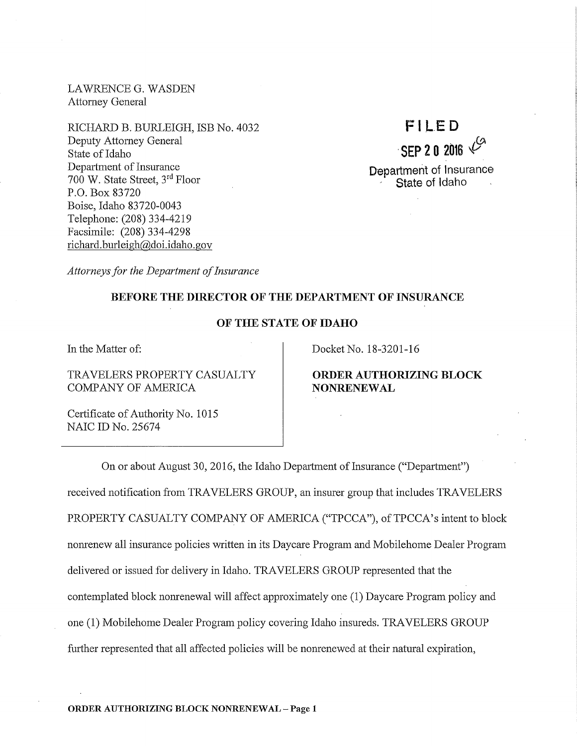LAWRENCE G. WASDEN Attorney General

RICHARD B. BURLEIGH, ISB No. 4032 Deputy Attorney General State of Idaho Department of Insurance 700 W. State Street, 3rd Floor P.O. Box 83720 Boise, Idaho 83720-0043 Telephone: (208) 334-4219 Facsimile: (208) 334-4298 richard. burleigh@doi.idaho.gov



*Attorneys for the Department of Insurance* 

## BEFORE THE DIRECTOR OF THE DEPARTMENT OF INSURANCE

## OF THE STATE OF IDAHO

In the Matter of:

TRAVELERS PROPERTY CASUALTY COMPANY OF AMERICA

Docket No. 18-3201-16

ORDER AUTHORIZING BLOCK NONRENEWAL

Certificate of Authority No. 1015 NAIC ID No. 25674

On or about August 30, 2016, the Idaho Department of Insurance ("Department") received notification from TRAVELERS GROUP, an insurer group that includes TRAVELERS PROPERTY CASUALTY COMPANY OF AMERICA ("TPCCA"), of TPCCA's intent to block nomenew all insurance policies written in its Daycare Program and Mobilehome Dealer Program delivered or issued for delivery in Idaho. TRAVELERS GROUP represented that the contemplated block nomenewal will affect approximately one (1) Daycare Program policy and one (1) Mobilehome Dealer Program policy covering Idaho insureds. TRAVELERS GROUP further represented that all affected policies will be nomenewed at their natural expiration,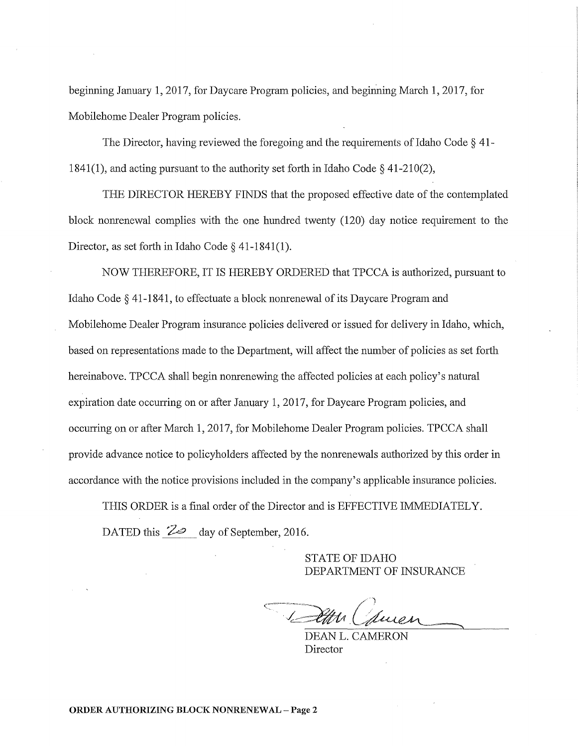beginning January 1, 2017, for Daycare Program policies, and beginning March 1, 2017, for Mobilehome Dealer Program policies.

The Director, having reviewed the foregoing and the requirements of Idaho Code§ 41- 1841(1), and acting pursuant to the authority set forth in Idaho Code  $\S$  41-210(2),

THE DIRECTOR HEREBY FINDS that the proposed effective date of the contemplated block nonrenewal complies with the one hundred twenty (120) day notice requirement to the Director, as set forth in Idaho Code § 41-1841(1).

NOW THEREFORE, IT IS HEREBY ORDERED that TPCCA is authorized, pursuant to Idaho Code § 41-1841, to effectuate a block nonrenewal of its Daycare Program and Mobilehome Dealer Program insurance policies delivered or issued for delivery in Idaho, which, based on representations made to the Department, will affect the number of policies as set forth hereinabove. TPCCA shall begin nonrenewing the affected policies at each policy's natural expiration date occurring on or after January 1, 2017, for Daycare Program policies, and occurring on or after March 1, 2017, for Mobilehome Dealer Program policies. TPCCA shall provide advance notice to policyholders affected by the nonrenewals authorized by this order in accordance with the notice provisions included in the company's applicable insurance policies.

THIS ORDER is a final order of the Director and is EFFECTIVE IMMEDIATELY. DATED this <sup>22</sup> day of September, 2016.

> STATE OF IDAHO DEPARTMENT OF INSURANCE

DEAN L. CAMERON Director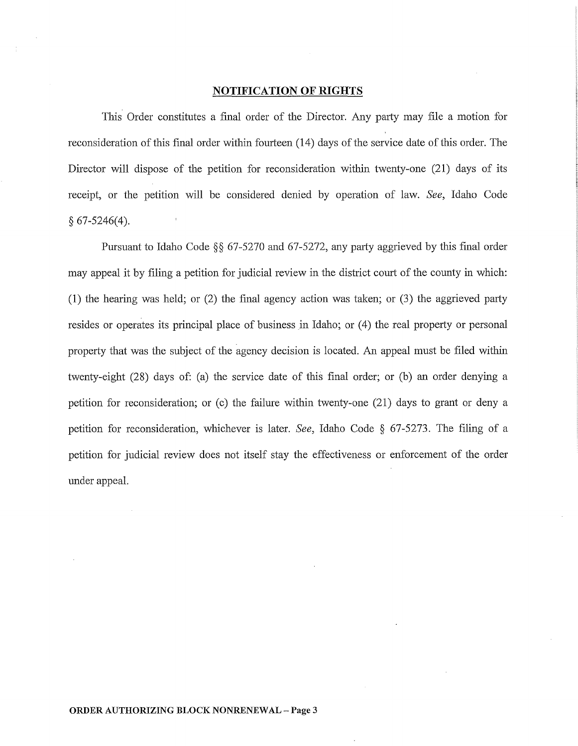## **NOTIFICATION OF RIGHTS**

This Order constitutes a final order of the Director. Any party may file a motion for reconsideration of this final order within fourteen (14) days of the service date of this order. The Director will dispose of the petition for reconsideration within twenty-one (21) days of its receipt, or the petition will be considered denied by operation of law. *See,* Idaho Code § 67-5246(4).

Pursuant to Idaho Code §§ 67-5270 and 67-5272, any party aggrieved by this final order may appeal it by filing a petition for judicial review in the district court of the county in which: (1) the hearing was held; or (2) the final agency action was taken; or (3) the aggrieved party resides or operates its principal place of business in Idaho; or  $(4)$  the real property or personal property that was the subject of the agency decision is located. An appeal must be filed within twenty-eight (28) days of: (a) the service date of this final order; or (b) an order denying a petition for reconsideration; or (c) the failure within twenty-one (21) days to grant or deny a petition for reconsideration, whichever is later. *See,* Idaho Code § 67-5273. The filing of a petition for judicial review does not itself stay the effectiveness or enforcement of the order under appeal.